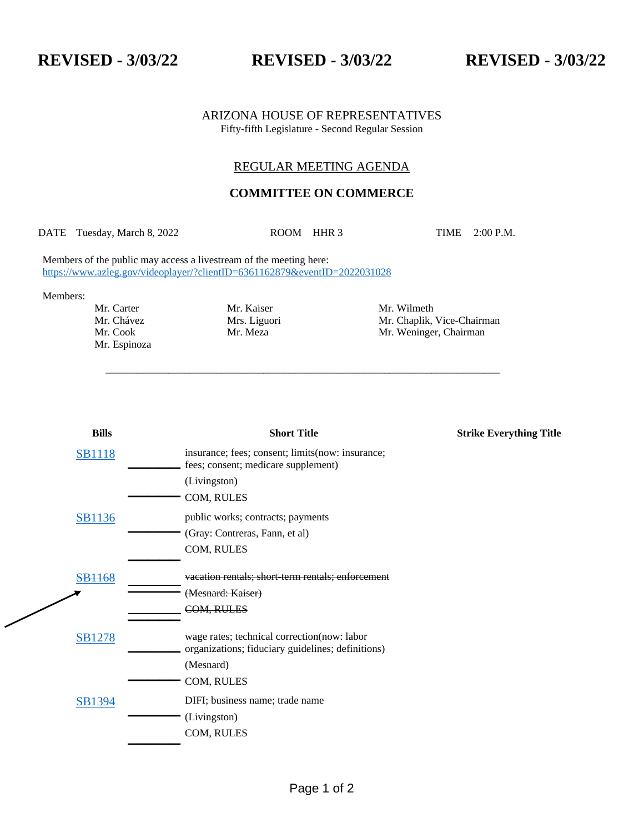**REVISED - 3/03/22 REVISED - 3/03/22 REVISED - 3/03/22**

#### ARIZONA HOUSE OF REPRESENTATIVES Fifty-fifth Legislature - Second Regular Session

### REGULAR MEETING AGENDA

# **COMMITTEE ON COMMERCE**

DATE Tuesday, March 8, 2022 ROOM HHR 3 TIME 2:00 P.M.

\_\_\_\_\_\_\_\_\_\_\_\_\_\_\_\_\_\_\_\_\_\_\_\_\_\_\_\_\_\_\_\_\_\_\_\_\_\_\_\_\_\_\_\_\_\_\_\_\_\_\_\_\_\_\_\_\_\_\_\_\_\_\_\_\_\_\_\_\_\_\_\_\_\_\_

Members of the public may access a livestream of the meeting here: <https://www.azleg.gov/videoplayer/?clientID=6361162879&eventID=2022031028>

Members:

 $\diagup$ 

Mr. Espinoza

Mr. Carter Mr. Kaiser Mr. Wilmeth Mr. Chapes Mr. Chaplik, Mrs. Liguori Mr. Chaplik, Vice-Chairman Mr. Cook Mr. Meza Mr. Weninger, Chairman

| <b>Bills</b>     | <b>Short Title</b>                                                                                | <b>Strike Everything Title</b> |
|------------------|---------------------------------------------------------------------------------------------------|--------------------------------|
| <b>SB1118</b>    | insurance; fees; consent; limits(now: insurance;<br>fees; consent; medicare supplement)           |                                |
|                  | (Livingston)                                                                                      |                                |
|                  | COM, RULES                                                                                        |                                |
| <b>SB1136</b>    | public works; contracts; payments                                                                 |                                |
|                  | (Gray: Contreras, Fann, et al)                                                                    |                                |
|                  | COM, RULES                                                                                        |                                |
| <del>B1168</del> | vacation rentals: short term rentals: enforcement                                                 |                                |
|                  | (Mesnard: Kaiser)                                                                                 |                                |
|                  | COM, RULES                                                                                        |                                |
| <b>SB1278</b>    | wage rates; technical correction (now: labor<br>organizations; fiduciary guidelines; definitions) |                                |
|                  | (Mesnard)                                                                                         |                                |
|                  | COM, RULES                                                                                        |                                |
| SB1394           | DIFI; business name; trade name                                                                   |                                |
|                  | (Livingston)                                                                                      |                                |
|                  | COM, RULES                                                                                        |                                |
|                  |                                                                                                   |                                |